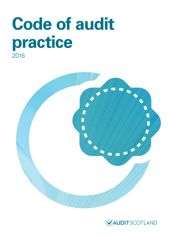# **Code of audit practice** 2016



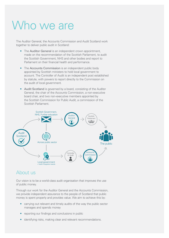# Who we are

The Auditor General, the Accounts Commission and Audit Scotland work together to deliver public audit in Scotland:

- The Auditor General is an independent crown appointment, made on the recommendation of the Scottish Parliament, to audit the Scottish Government, NHS and other bodies and report to Parliament on their financial health and performance.
- The Accounts Commission is an independent public body appointed by Scottish ministers to hold local government to account. The Controller of Audit is an independent post established by statute, with powers to report directly to the Commission on the audit of local government.
- Audit Scotland is governed by a board, consisting of the Auditor General, the chair of the Accounts Commission, a non-executive board chair, and two non-executive members appointed by the Scottish Commission for Public Audit, a commission of the Scottish Parliament.



#### About us

Our vision is to be a world-class audit organisation that improves the use of public money.

Through our work for the Auditor General and the Accounts Commission, we provide independent assurance to the people of Scotland that public money is spent properly and provides value. We aim to achieve this by:

- carrying out relevant and timely audits of the way the public sector manages and spends money
- reporting our findings and conclusions in public
- identifying risks, making clear and relevant recommendations.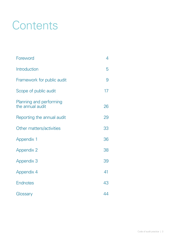# **Contents**

| Foreword                                    | 4  |
|---------------------------------------------|----|
| Introduction                                | 5  |
| Framework for public audit                  | 9  |
| Scope of public audit                       | 17 |
| Planning and performing<br>the annual audit | 26 |
| Reporting the annual audit                  | 29 |
| Other matters/activities                    | 33 |
| <b>Appendix 1</b>                           | 36 |
| <b>Appendix 2</b>                           | 38 |
| <b>Appendix 3</b>                           | 39 |
| <b>Appendix 4</b>                           | 41 |
| <b>Endnotes</b>                             | 43 |
| Glossary                                    | 44 |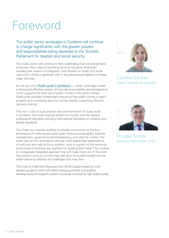# <span id="page-3-0"></span>Foreword

The public sector landscape in Scotland will continue to change significantly with the greater powers and responsibilities being devolved to the Scottish Parliament for taxation and social security.

The public sector will continue to face challenging financial and demand pressures. New ways of providing services are being developed including the creation of Integration Joint Boards for health and social care which marks a significant shift in the planning and delivery of these major services.

As we set out in *[Public audit in Scotland](http://www.audit-scotland.gov.uk/report/public-audit-in-scotland)* (**i**), public audit helps create a strong and effective system of financial accountability and transparency which supports the best use of public money in the public interest. Public audit provides independent assurance that public money is spent properly and is providing value for money thereby supporting effective decision-making.

This new Code of audit practice sets the framework for public audit in Scotland. The Code requires auditors to comply with the highest professional standards including International Standards on Auditing and ethical standards.

The Code now requires auditors to provide conclusions on the four dimensions of wider-scope public audit: financial sustainability, financial management, governance and transparency, and value for money. The audit work on the dimensions will help meet stakeholder expectations of audit and also help to focus auditors' work in support of the Accounts Commission's evolving new approach to auditing Best Value. This involves an increasingly integrated approach that will make more use of the work that auditors carry out so that they add value for audited bodies and are better placed to address the challenges that they face.

The Code is a high-level document and will be supplemented by more detailed guidance which will reflect changing priorities and auditing developments and support auditors to provide consistently high-quality audits.



Caroline Gardner Auditor General for Scotland



Douglas Sinclair Accounts Commission Chair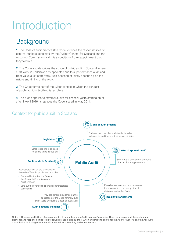# <span id="page-4-0"></span>Introduction

# **Background**

**1.** The Code of audit practice (the Code) outlines the responsibilities of external auditors appointed by the Auditor General for Scotland and the Accounts Commission and it is a condition of their appointment that they follow it.

**2.** The Code also describes the scope of public audit in Scotland where audit work is undertaken by appointed auditors, performance audit and Best Value audit staff from Audit Scotland or jointly depending on the nature and timing of the work.

**3.** The Code forms part of the wider context in which the conduct of public audit in Scotland takes place.

**4.** This Code applies to external audits for financial years starting on or after 1 April 2016. It replaces the Code issued in May 2011.

#### Context for public audit in Scotland



Note: 1. The standard letters of appointment will be published on Audit Scotland's website. These letters cover all the contractual elements and responsibilities to be followed by appointed auditors when undertaking audits for the Auditor General and the Accounts Commission including relevant environmental, sustainability and other matters.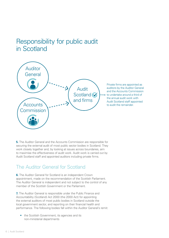# Responsibility for public audit in Scotland



Private firms are appointed as auditors by the Auditor General and the Accounts Commission to undertake around a third of the annual audit work with Audit Scotland staff appointed to audit the remainder.

**5.** The Auditor General and the Accounts Commission are responsible for securing the external audit of most public sector bodies in Scotland. They work closely together and, by looking at issues across boundaries, aim to maximise the effectiveness of audit work. Audit work is carried out by Audit Scotland staff and appointed auditors including private firms.

#### The Auditor General for Scotland

**6.** The Auditor General for Scotland is an independent Crown appointment, made on the recommendation of the Scottish Parliament. The Auditor General is independent and not subject to the control of any member of the Scottish Government or the Parliament.

**7.** The Auditor General is responsible under the Public Finance and Accountability (Scotland) Act 2000 (the 2000 Act) for appointing the external auditors of most public bodies in Scotland outside the local government sector, and reporting on their financial health and performance. The following bodies fall within the Auditor General's remit:

• the Scottish Government, its agencies and its non-ministerial departments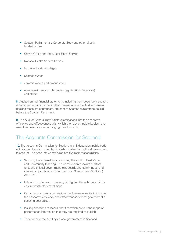- Scottish Parliamentary Corporate Body and other directly funded bodies
- Crown Office and Procurator Fiscal Service
- National Health Service bodies
- further education colleges
- Scottish Water
- commissioners and ombudsmen
- non-departmental public bodies (eg, Scottish Enterprise) and others.

**8.** Audited annual financial statements including the independent auditors' reports, and reports by the Auditor General where the Auditor General decides these are appropriate, are sent to Scottish ministers to be laid before the Scottish Parliament.

**9.** The Auditor General may initiate examinations into the economy, efficiency and effectiveness with which the relevant public bodies have used their resources in discharging their functions.

# The Accounts Commission for Scotland

**10.** The Accounts Commission for Scotland is an independent public body with its members appointed by Scottish ministers to hold local government to account. The Accounts Commission has five main responsibilities:

- Securing the external audit, including the audit of Best Value and Community Planning. The Commission appoints auditors to councils, local government joint boards and committees, and integration joint boards under the Local Government (Scotland) Act 1973.
- Following up issues of concern, highlighted through the audit, to ensure satisfactory resolutions.
- Carrying out or promoting national performance audits to improve the economy, efficiency and effectiveness of local government or securing best value.
- Issuing directions to local authorities which set out the range of performance information that they are required to publish.
- To coordinate the scrutiny of local government in Scotland.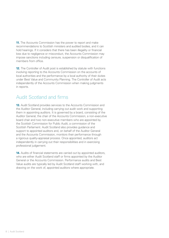**11.** The Accounts Commission has the power to report and make recommendations to Scottish ministers and audited bodies, and it can hold hearings. If it considers that there has been illegality or financial loss due to negligence or misconduct, the Accounts Commission may impose sanctions including censure, suspension or disqualification of members from office.

**12.** The Controller of Audit post is established by statute with functions involving reporting to the Accounts Commission on the accounts of local authorities and the performance by a local authority of their duties under Best Value and Community Planning. The Controller of Audit acts independently of the Accounts Commission when making judgments in reports.

# Audit Scotland and firms

**13.** Audit Scotland provides services to the Accounts Commission and the Auditor General, including carrying out audit work and supporting them in appointing auditors. It is governed by a board, consisting of the Auditor General, the chair of the Accounts Commission, a non-executive board chair and two non-executive members who are appointed by the Scottish Commission for Public Audit, a commission of the Scottish Parliament. Audit Scotland also provides guidance and support to appointed auditors and, on behalf of the Auditor General and the Accounts Commission, monitors their performance through a rigorous quality-appraisal process. Once appointed, auditors act independently in carrying out their responsibilities and in exercising professional judgement.

**14.** Audits of financial statements are carried out by appointed auditors, who are either Audit Scotland staff or firms appointed by the Auditor General or the Accounts Commission. Performance audits and Best Value audits are typically led by Audit Scotland staff working with, and drawing on the work of, appointed auditors where appropriate.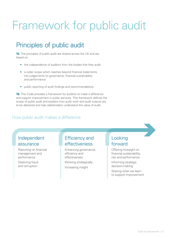# <span id="page-8-0"></span>Framework for public audit

# Principles of public audit

**15.** The principles of public audit are shared across the UK and are based on:

- the independence of auditors from the bodies that they audit
- a wider scope which reaches beyond financial statements into judgements on governance, financial sustainability and performance
- public reporting of audit findings and recommendations.

**16.** This Code provides a framework for auditors to make a difference and support improvement in public services. This framework defines the scope of public audit and explains how audit work and audit outputs are to be delivered and help stakeholders understand the value of audit.

#### How public audit makes a difference

# Independent assurance

Reporting on financial management and performance

Deterring fraud and corruption

### Efficiency and effectiveness

Enhancing governance, efficiency and effectiveness Working strategically Increasing insight

# Looking forward

Offering foresight on financial sustainability, risk and performance

Informing strategic decision-making

Sharing what we learn to support improvement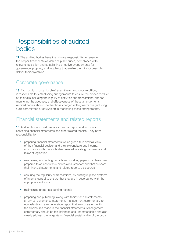# Responsibilities of audited bodies

**17.** The audited bodies have the primary responsibility for ensuring the proper financial stewardship of public funds, compliance with relevant legislation and establishing effective arrangements for governance, propriety and regularity that enable them to successfully deliver their objectives.

#### Corporate governance

**18.** Each body, through its chief executive or accountable officer, is responsible for establishing arrangements to ensure the proper conduct of its affairs including the legality of activities and transactions, and for monitoring the adequacy and effectiveness of these arrangements. Audited bodies should involve those charged with governance (including audit committees or equivalent) in monitoring these arrangements.

# Financial statements and related reports

**19.** Audited bodies must prepare an annual report and accounts containing financial statements and other related reports. They have responsibility for:

- preparing financial statements which give a true and fair view of their financial position and their expenditure and income, in accordance with the applicable financial reporting framework and relevant legislation
- maintaining accounting records and working papers that have been prepared to an acceptable professional standard and that support their financial statements and related reports disclosures
- ensuring the regularity of transactions, by putting in place systems of internal control to ensure that they are in accordance with the appropriate authority
- maintaining proper accounting records
- preparing and publishing, along with their financial statements, an annual governance statement, management commentary (or equivalent) and a remuneration report that are consistent with the disclosures made in the financial statements. Management commentary should be fair, balanced and understandable and also clearly address the longer-term financial sustainability of the body.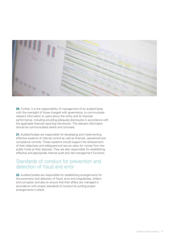

**20.** Further, it is the responsibility of management of an audited body, with the oversight of those charged with governance, to communicate relevant information to users about the entity and its financial performance, including providing adequate disclosures in accordance with the applicable financial reporting framework. The relevant information should be communicated clearly and concisely.

**21.** Audited bodies are responsible for developing and implementing effective systems of internal control as well as financial, operational and compliance controls. These systems should support the achievement of their objectives and safeguard and secure value for money from the public funds at their disposal. They are also responsible for establishing effective and appropriate internal audit and risk-management functions.

#### Standards of conduct for prevention and detection of fraud and error

**22.** Audited bodies are responsible for establishing arrangements for the prevention and detection of fraud, error and irregularities, bribery and corruption and also to ensure that their affairs are managed in accordance with proper standards of conduct by putting proper arrangements in place.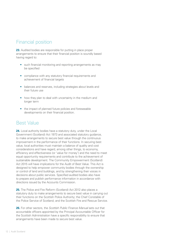# Financial position

**23.** Audited bodies are responsible for putting in place proper arrangements to ensure that their financial position is soundly based having regard to:

- such financial monitoring and reporting arrangements as may be specified
- compliance with any statutory financial requirements and achievement of financial targets
- balances and reserves, including strategies about levels and their future use
- how they plan to deal with uncertainty in the medium and longer term
- the impact of planned future policies and foreseeable developments on their financial position.

#### Best Value

**24.** Local authority bodies have a statutory duty, under the Local Government (Scotland) Act 1973 and associated statutory guidance, to make arrangements to secure best value through the continuous improvement in the performance of their functions. In securing best value, local authorities must maintain a balance of quality and cost considerations and have regard, among other things, to economy, efficiency and effectiveness (or 'value for money') and the need to meet equal opportunity requirements and contribute to the achievement of sustainable development. The Community Empowerment (Scotland) Act 2015 will have implications for the Audit of Best Value. This Act is designed to help empower community bodies through the ownership or control of land and buildings, and by strengthening their voices in decisions about public services. Specified audited bodies also have to prepare and publish performance information in accordance with directions issued by the Accounts Commission.

**25.** The Police and Fire Reform (Scotland) Act 2012 also places a statutory duty to make arrangements to secure best value in carrying out their functions on the Scottish Police Authority; the Chief Constable of the Police Service of Scotland; and the Scottish Fire and Rescue Service.

**26.** For other sectors, the *Scottish Public Finance Manual* sets out that accountable officers appointed by the Principal Accountable Officer for the Scottish Administration have a specific responsibility to ensure that arrangements have been made to secure best value.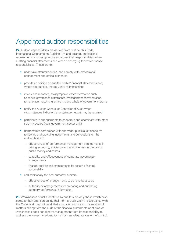# Appointed auditor responsibilities

**27.** Auditor responsibilities are derived from statute, this Code, International Standards on Auditing (UK and Ireland), professional requirements and best practice and cover their responsibilities when auditing financial statements and when discharging their wider scope responsibilities. These are to:

- undertake statutory duties, and comply with professional engagement and ethical standards
- provide an opinion on audited bodies' financial statements and, where appropriate, the regularity of transactions
- review and report on, as appropriate, other information such as annual governance statements, management commentaries, remuneration reports, grant claims and whole of government returns
- <span id="page-12-0"></span>• notify the Auditor General or Controller of Audit when circumstances indicate that a statutory report may be required $1$
- participate in arrangements to cooperate and coordinate with other scrutiny bodies (local government sector only)
- demonstrate compliance with the wider public audit scope by reviewing and providing judgements and conclusions on the audited bodies':
	- effectiveness of performance management arrangements in driving economy, efficiency and effectiveness in the use of public money and assets
	- suitability and effectiveness of corporate governance arrangements
	- financial position and arrangements for securing financial sustainability
- and additionally for local authority auditors:
	- effectiveness of arrangements to achieve best value
	- suitability of arrangements for preparing and publishing statutory performance information.

**28.** Weaknesses or risks identified by auditors are only those which have come to their attention during their normal audit work in accordance with the Code, and may not be all that exist. Communication by auditors of matters arising from the audit of the financial statements or of risks or weaknesses does not absolve management from its responsibility to address the issues raised and to maintain an adequate system of control.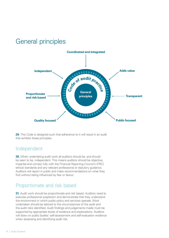# General principles



**29.** This Code is designed such that adherence to it will result in an audit that exhibits these principles.

#### Independent

**30.** When undertaking audit work all auditors should be, and should be seen to be, independent. This means auditors should be objective, impartial and comply fully with the Financial Reporting Council's (FRC) ethical standards and any relevant professional or statutory guidance. Auditors will report in public and make recommendations on what they find without being influenced by fear or favour.

# Proportionate and risk based

**31.** Audit work should be proportionate and risk based. Auditors need to exercise professional scepticism and demonstrate that they understand the environment in which public policy and services operate. Work undertaken should be tailored to the circumstances of the audit and the audit risks identified. Audit findings and judgements made must be supported by appropriate levels of evidence and explanations. Auditors will draw on public bodies' self-assessment and self-evaluation evidence when assessing and identifying audit risk.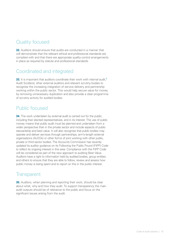# Quality focused

**32.** Auditors should ensure that audits are conducted in a manner that will demonstrate that the relevant ethical and professional standards are complied with and that there are appropriate quality-control arrangements in place as required by statute and professional standards.

### Coordinated and integrated

<span id="page-14-0"></span>**33.** It is important that auditors coordinate their work with internal audit.<sup>2</sup> Audit Scotland, other external auditors and relevant scrutiny bodies to recognise the increasing integration of service delivery and partnership working within the public sector. This would help secure value for money by removing unnecessary duplication and also provide a clear programme of scrutiny activity for audited bodies.

### Public focused

**34.** The work undertaken by external audit is carried out for the public, including their elected representatives, and in its interest. The use of public money means that public audit must be planned and undertaken from a wider perspective than in the private sector and include aspects of public stewardship and best value. It will also recognise that public bodies may operate and deliver services through partnerships, arm's-length external organisations (ALEOs) or other forms of joint working with other public, private or third sector bodies. The Accounts Commission has recently updated its auditor guidance on its Following the Public Pound (FtPP) Code to reflect its ongoing interest in this area. Compliance with the FtPP Code will be considered as part of the new approach to auditing Best Value. Auditors have a right to information held by audited bodies, group entities and others to ensure that they are able to follow, review and assess how public money is being spent and to report on this in the public interest.

#### **Transparent**

**35.** Auditors, when planning and reporting their work, should be clear about what, why and how they audit. To support transparency the main audit outputs should be of relevance to the public and focus on the significant issues arising from the audit.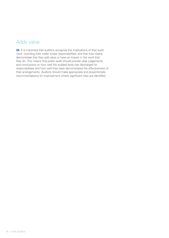# Adds value

**36.** It is important that auditors recognise the implications of their audit work, including their wider scope responsibilities, and that they clearly demonstrate that they add value or have an impact in the work that they do. This means that public audit should provide clear judgements and conclusions on how well the audited body has discharged its responsibilities and how well they have demonstrated the effectiveness of their arrangements. Auditors should make appropriate and proportionate recommendations for improvement where significant risks are identified.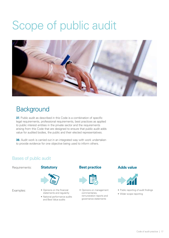# <span id="page-16-0"></span>Scope of public audit



# **Background**

**37.** Public audit as described in this Code is a combination of specific legal requirements, professional requirements, best practices as applied to public interest entities in the private sector and the requirements arising from this Code that are designed to ensure that public audit adds value for audited bodies, the public and their elected representatives.

**38.** Audit work is carried out in an integrated way with work undertaken to provide evidence for one objective being used to inform others.

#### Bases of public audit

Requirements:

Examples:





- Opinions on the financial statements and regularity
- National performance audits and Best Value audits

#### **Statutory Best practice Adds value**



• Opinions on management commentaries, remuneration reports and governance statements



- Public reporting of audit findings
- Wider scope reporting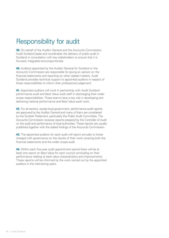# Responsibility for audit

**39.** On behalf of the Auditor General and the Accounts Commission, Audit Scotland leads and coordinates the delivery of public audit in Scotland in consultation with key stakeholders to ensure that it is focused, integrated and proportionate.

**40.** Auditors appointed by the Auditor General for Scotland or the Accounts Commission are responsible for giving an opinion on the financial statements and reporting on other related matters. Audit Scotland provides technical support to appointed auditors in respect of these responsibilities to inform their professional judgement.

**41.** Appointed auditors will work in partnership with Audit Scotland performance audit and Best Value audit staff in discharging their wider scope responsibilities. These teams have a key role in developing and delivering national performance and Best Value audit work.

**42.** For all sectors, except local government, performance audit reports are approved by the Auditor General and many of them are considered by the Scottish Parliament, particularly the Public Audit Committee. The Accounts Commission receives reports prepared by the Controller of Audit on the audit and performance of local authorities. These reports are usually published together with the stated findings of the Accounts Commission.

**43.** The appointed auditors for each audit will report annually to those charged with governance on the results of their work covering both the financial statements and the wider scope audit.

**44.** Within each five-year audit appointment period there will be at least one report on Best Value for each council concluding on their performance relating to best value characteristics and improvements. These reports will be informed by the work carried out by the appointed auditors in the intervening years.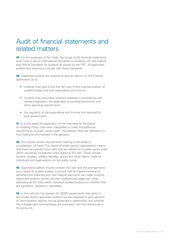# Audit of financial statements and related matters

**45.** For the purposes of the Code, the scope of the financial statements audit work is set by International Standards on Auditing (UK and Ireland) and Ethical Standards for Auditors as issued by the FRC. All appointed auditors are required to comply with these standards.

**46.** Appointed auditors are required to give an opinion on the financial statements as to:

- whether they give a true and fair view of the financial position of audited bodies and their expenditure and income
- whether they have been properly prepared in accordance with relevant legislation, the applicable accounting framework and other reporting requirements
- the regularity of the expenditure and income (not required for local government).

**47.** In some areas the application of the International Standards on Auditing (ISAs) have been interpreted to meet the additional requirements of public sector audit. The relevant ISAs are referred to in this Code and summarised in the glossary.

**48.** ISA include certain requirements relating to the auditor's consideration of fraud. The nature of public sector organisations means that there are specific fraud risks that are relevant to a public sector audit which should be considered when applying ISA 240. These include taxation receipts, welfare benefits, grants and other claims made by individuals and organisations on the public purse.

**49.** Appointed auditors should consider the risks and the arrangements put in place by audited bodies to ensure that all material revenue is identified and collected and that material payments are made correctly. Appointed auditors should use their professional judgement when assessing all the risks within individual audited bodies and whether they are significant, relevant or rebuttable.

**50.** In line with the Companies Act 2006 requirements that apply in the private sector, appointed auditors are also required to give opinions on remuneration reports, annual governance statements, and whether the management commentaries are consistent with the disclosures in the accounts.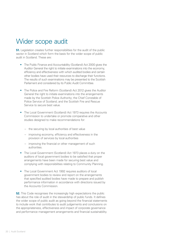# Wider scope audit

**51.** Legislation creates further responsibilities for the audit of the public sector in Scotland which form the basis for the wider scope of public audit in Scotland. These are:

- The Public Finance and Accountability (Scotland) Act 2000 gives the Auditor General the right to initiate examinations into the economy, efficiency and effectiveness with which audited bodies and certain other bodies have used their resources to discharge their functions. The results of such examinations may be presented to the Scottish Parliament and considered by its Public Audit Committee.
- The Police and Fire Reform (Scotland) Act 2012 gives the Auditor General the right to initiate examinations into the arrangements made by the Scottish Police Authority; the Chief Constable of Police Service of Scotland; and the Scottish Fire and Rescue Service to secure best value.
- The Local Government (Scotland) Act 1973 requires the Accounts Commission to undertake or promote comparative and other studies designed to make recommendations for:
	- the securing by local authorities of best value
	- improving economy, efficiency and effectiveness in the provision of services by local authorities
	- improving the financial or other management of such authorities.
- The Local Government (Scotland) Act 1973 places a duty on the auditors of local government bodies to be satisfied that proper arrangements have been made for securing best value and complying with responsibilities relating to Community Planning.
- The Local Government Act 1992 requires auditors of local government bodies to review and report on the arrangements that specified audited bodies have made to prepare and publish performance information in accordance with directions issued by the Accounts Commission.

**52.** This Code recognises the increasingly high expectations the public has about the role of audit in the stewardship of public funds. It defines the wider scope of public audit as going beyond the financial statements to include work that contributes to audit judgements and conclusions on the appropriateness, effectiveness and impact of corporate governance and performance management arrangements and financial sustainability.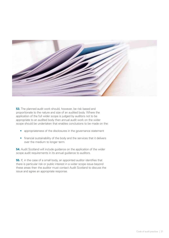

**53.** The planned audit work should, however, be risk based and proportionate to the nature and size of an audited body. Where the application of the full wider scope is judged by auditors not to be appropriate to an audited body then annual audit work on the wider scope should be undertaken that enables conclusions to be made on the:

- appropriateness of the disclosures in the governance statement
- financial sustainability of the body and the services that it delivers over the medium to longer term.

**54.** Audit Scotland will include guidance on the application of the wider scope audit requirements in its annual guidance to auditors.

**55.** If, in the case of a small body, an appointed auditor identifies that there is particular risk or public interest in a wider scope issue beyond these areas then the auditor must contact Audit Scotland to discuss the issue and agree an appropriate response.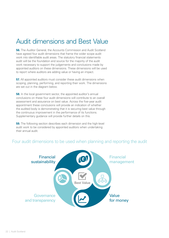# Audit dimensions and Best Value

**56.** The Auditor General, the Accounts Commission and Audit Scotland have agreed four audit dimensions that frame the wider scope audit work into identifiable audit areas. The statutory financial statements audit will be the foundation and source for the majority of the audit work necessary to support the judgements and conclusions made by appointed auditors on these dimensions. These dimensions will be used to report where auditors are adding value or having an impact.

**57.** All appointed auditors must consider these audit dimensions when scoping, planning, performing, and reporting their work. The dimensions are set out in the diagram below.

**58.** In the local government sector, the appointed auditor's annual conclusions on these four audit dimensions will contribute to an overall assessment and assurance on best value. Across the five-year audit appointment these conclusions will provide an indication of whether the audited body is demonstrating that it is securing best value through the continuous improvement in the performance of its functions. Supplementary guidance will provide further details on this.

**59.** The following section describes each dimension and the high-level audit work to be considered by appointed auditors when undertaking their annual audit.

#### Four audit dimensions to be used when planning and reporting the audit

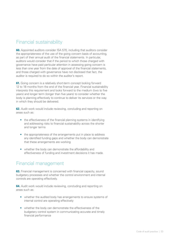# Financial sustainability

**60.** Appointed auditors consider ISA 570, including that auditors consider the appropriateness of the use of the going concern basis of accounting, as part of their annual audit of the financial statements. In particular, auditors would consider that if the period to which those charged with governance have paid particular attention in assessing going concern is less than one year from the date of approval of the financial statements, and those charged with governance have not disclosed that fact, the auditor is required to do so within the auditor's report.

**61.** Going concern is a relatively short-term concept looking forward 12 to 18 months from the end of the financial year. Financial sustainability interprets this requirement and looks forward to the medium (two to five years) and longer term (longer than five years) to consider whether the body is planning effectively to continue to deliver its services or the way in which they should be delivered.

**62.** Audit work would include reviewing, concluding and reporting on areas such as:

- the effectiveness of the financial planning systems in identifying and addressing risks to financial sustainability across the shorter and longer terms
- the appropriateness of the arrangements put in place to address any identified funding gaps and whether the body can demonstrate that these arrangements are working
- whether the body can demonstrate the affordability and effectiveness of funding and investment decisions it has made.

#### Financial management

**63.** Financial management is concerned with financial capacity, sound budgetary processes and whether the control environment and internal controls are operating effectively.

**64.** Audit work would include reviewing, concluding and reporting on areas such as:

- whether the audited body has arrangements to ensure systems of internal control are operating effectively
- whether the body can demonstrate the effectiveness of the budgetary control system in communicating accurate and timely financial performance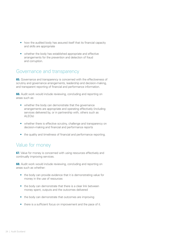- how the audited body has assured itself that its financial capacity and skills are appropriate
- whether the body has established appropriate and effective arrangements for the prevention and detection of fraud and corruption.

#### Governance and transparency

**65.** Governance and transparency is concerned with the effectiveness of scrutiny and governance arrangements, leadership and decision-making, and transparent reporting of financial and performance information.

**66.** Audit work would include reviewing, concluding and reporting on areas such as:

- whether the body can demonstrate that the governance arrangements are appropriate and operating effectively (including services delivered by, or in partnership with, others such as ALEOs)
- whether there is effective scrutiny, challenge and transparency on decision-making and financial and performance reports
- the quality and timeliness of financial and performance reporting.

#### Value for money

**67.** Value for money is concerned with using resources effectively and continually improving services.

**68.** Audit work would include reviewing, concluding and reporting on areas such as whether:

- the body can provide evidence that it is demonstrating value for money in the use of resources
- the body can demonstrate that there is a clear link between money spent, outputs and the outcomes delivered
- the body can demonstrate that outcomes are improving
- there is a sufficient focus on improvement and the pace of it.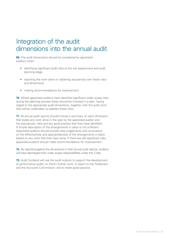# Integration of the audit dimensions into the annual audit

**69.** The audit dimensions should be considered by appointed auditors when:

- identifying significant audit risks at the risk assessment and audit planning stage
- reporting the work done on obtaining assurances over these risks and dimensions
- making recommendations for improvement.

**70.** Where appointed auditors have identified significant wider scope risks during the planning process these should be included in a plan, having regard to the appropriate audit dimensions, together with the audit work that will be undertaken to address these risks.

**71.** All annual audit reports should include a summary on each dimension that states any work done in the year by the appointed auditor and the assurances, risks and any good practice that they have identified. A simple description of the arrangements in place is not sufficient. Appointed auditors should provide clear judgements and conclusions on the effectiveness and appropriateness of the arrangements in place based on any work that they have done. If there are still significant risks, appointed auditors should make recommendations for improvement.

**72.** By reporting against the dimensions in their annual audit reports, auditors will have discharged their wider scope responsibilities under this Code.

**73.** Audit Scotland will use the audit outputs to support the development of performance audits; to inform further work; to report to the Parliament and the Accounts Commission; and to share good practice.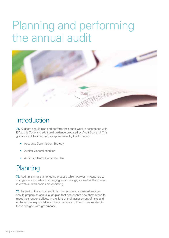# <span id="page-25-0"></span>Planning and performing the annual audit



# **Introduction**

**74.** Auditors should plan and perform their audit work in accordance with ISAs, this Code and additional guidance prepared by Audit Scotland. This guidance will be informed, as appropriate, by the following:

- Accounts Commission Strategy
- Auditor General priorities
- Audit Scotland's Corporate Plan.

# **Planning**

**75.** Audit planning is an ongoing process which evolves in response to changes in audit risk and emerging audit findings, as well as the context in which audited bodies are operating.

**76.** As part of the annual audit planning process, appointed auditors should prepare an annual audit plan that documents how they intend to meet their responsibilities, in the light of their assessment of risks and wider scope responsibilities. These plans should be communicated to those charged with governance.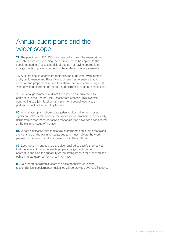# Annual audit plans and the wider scope

**77.** The principles of ISA 330 are extended to meet the expectations of public audit when planning the audit and must be applied to the appointed auditors' assessed risk of bodies not having appropriate arrangements in place in respect of the wider scope requirements.

**78.** Auditors should coordinate their planned audit work with internal audit, performance and Best Value programmes to ensure that it is effective and proportionate. Auditors should consider completing audit work covering elements of the four audit dimensions on an annual basis.

**79.** For local government auditors there is also a requirement to participate in the Shared Risk Assessment process. This involves contributing to a joint local scrutiny plan for a council each year, in partnership with other scrutiny bodies.

**80.** Annual audit plans should categorise auditor judgements over significant risks by reference to the wider scope dimensions, and clearly demonstrate that the wider scope responsibilities have been considered at the planning stage of the audit.

**81.** Where significant risks to financial statements and audit dimensions are identified at the planning stage, auditors must indicate the work planned in the year to address these risks in the audit plan.

**82.** Local government auditors are also required to satisfy themselves that the local authority has made proper arrangements for securing best value and also the suitability of the arrangements for preparing and publishing statutory performance information.

**83.** To support appointed auditors to discharge their wider scope responsibilities, supplementary guidance will be provided by Audit Scotland.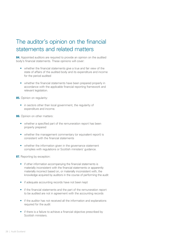# The auditor's opinion on the financial statements and related matters

**84.** Appointed auditors are required to provide an opinion on the audited body's financial statements. These opinions will cover:

- whether the financial statements give a true and fair view of the state of affairs of the audited body and its expenditure and income for the period audited
- whether the financial statements have been prepared properly in accordance with the applicable financial reporting framework and relevant legislation.

**85.** Opinion on regularity:

• in sectors other than local government, the regularity of expenditure and income.

**86.** Opinion on other matters:

- whether a specified part of the remuneration report has been properly prepared
- whether the management commentary (or equivalent report) is consistent with the financial statements
- whether the information given in the governance statement complies with regulations or Scottish ministers' guidance.

**87.** Reporting by exception:

- if other information accompanying the financial statements is materially inconsistent with the financial statements or apparently materially incorrect based on, or materially inconsistent with, the knowledge acquired by auditors in the course of performing the audit
- if adequate accounting records have not been kept
- if the financial statements and the part of the remuneration report to be audited are not in agreement with the accounting records
- if the auditor has not received all the information and explanations required for the audit
- if there is a failure to achieve a financial objective prescribed by Scottish ministers.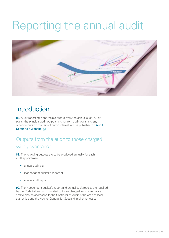# <span id="page-28-0"></span>Reporting the annual audit



# **Introduction**

**88.** Audit reporting is the visible output from the annual audit. Audit plans, the principal audit outputs arising from audit plans and any other outputs on matters of public interest will be published on [Audit](http://www.audit-scotland.gov.uk/)  [Scotland's website](http://www.audit-scotland.gov.uk/)  $\blacksquare$ .

# Outputs from the audit to those charged with governance

**89.** The following outputs are to be produced annually for each audit appointment:

- annual audit plan
- independent auditor's report(s)
- annual audit report.

**90.** The independent auditor's report and annual audit reports are required by the Code to be communicated to those charged with governance and to also be addressed to the Controller of Audit in the case of local authorities and the Auditor General for Scotland in all other cases.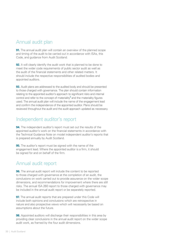# Annual audit plan

**91.** The annual audit plan will contain an overview of the planned scope and timing of the audit to be carried out in accordance with ISAs, this Code, and guidance from Audit Scotland.

**92.** It will clearly identify the audit work that is planned to be done to meet the wider code requirements of public sector audit as well as the audit of the financial statements and other related matters. It should include the respective responsibilities of audited bodies and appointed auditors.

<span id="page-29-0"></span>**93.** Audit plans are addressed to the audited body and should be presented to those charged with governance. The plan should contain information relating to the appointed auditor's approach to significant risks and internal control and refer to the concept of materiality $^3$  and the materiality figures used. The annual audit plan will include the name of the engagement lead and confirm the independence of the appointed auditor. Plans should be reviewed throughout the audit and the audit approach updated as necessary.

# Independent auditor's report

**94.** The independent auditor's report must set out the results of the appointed auditor's work on the financial statements in accordance with the Technical Guidance Note on model independent auditor's reports that is prepared annually by Audit Scotland.

**95.** The auditor's report must be signed with the name of the engagement lead. Where the appointed auditor is a firm, it should be signed for and on behalf of the firm.

#### Annual audit report

**96.** The annual audit report will include the content to be reported to those charged with governance at the completion of an audit, the conclusions on work carried out to provide assurance on the wider scope dimensions, and recommendations for improvement where there are still risks. The annual ISA 260 report to those charged with governance may be included in the annual audit report or be separately reported.

**97.** The annual audit reports that are prepared under this Code will include both opinions and conclusions which are retrospective in nature and also prospective views which will necessarily be based on assumptions about the future.

**98.** Appointed auditors will discharge their responsibilities in this area by providing clear conclusions in the annual audit report on the wider scope audit work, as framed by the four audit dimensions.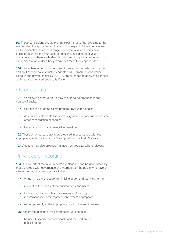**99.** These conclusions should provide clear narrative that explains to the reader what the appointed auditor found in respect of the effectiveness and appropriateness of the arrangements that audited bodies have in place regarding the four audit dimensions, including best value characteristics where applicable. Simply describing the arrangements that are in place at an audited body would not meet this responsibility.

**100.** The enhancements made to auditor reporting for listed companies, and entities who have voluntarily adopted UK Corporate Governance Code, in the private sector by ISA 700 are extended to apply to all annual audit reports prepared under this Code.

# Other outputs

**101.** The following other outputs may require to be produced in the course of audits:

- Certification of grant claims prepared by audited bodies.
- Assurance statements for whole of government account returns or other consolidation schedules.
- Reports on summary financial information.

**102.** These other outputs are to be prepared in accordance with the appropriate Technical Guidance Notes produced by Audit Scotland.

**103.** Auditors may also produce management reports, where relevant.

# Principles of reporting

**104.** It is important that audit reports are clear and can be understood by those charged with governance and members of the public who have an interest. All reports produced are to be:

- written in plain language, minimising jargon and technical terms
- relevant to the needs of the audited body and users
- focused on drawing clear conclusions and making recommendations for improvement, where appropriate
- issued promptly at the appropriate point in the audit process.

**105.** Recommendations arising from audit work should:

• be useful, specific and practicable and focused on the public interest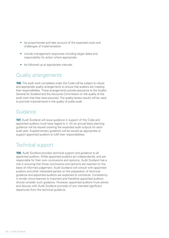- be proportionate and take account of the expected costs and challenges of implementation
- include management responses including target dates and responsibility for action where appropriate
- be followed up at appropriate intervals.

### Quality arrangements

**106.** The audit work completed under this Code will be subject to robust and appropriate quality arrangements to ensure that auditors are meeting their responsibilities. These arrangements provide assurance to the Auditor General for Scotland and the Accounts Commission on the quality of the audit work that they have procured. The quality-review results will be used to promote improvements in the quality of public audit.

#### Guidance

**107.** Audit Scotland will issue guidance in support of this Code and appointed auditors must have regard to it. On an annual basis planning guidance will be issued covering the expected audit outputs for each audit year. Supplementary guidance will be issued as appropriate to support appointed auditors to fulfil their responsibilities.

# Technical support

**108.** Audit Scotland provides technical support and guidance to all appointed auditors. While appointed auditors act independently, and are responsible for their own conclusions and opinions, Audit Scotland has a role in ensuring that those conclusions and opinions are reached on the basis of informed judgement. Audit Scotland will consult with appointed auditors and other interested parties on the preparation of technical guidance and appointed auditors are expected to contribute. Consistency in similar circumstances is important and therefore appointed auditors should consider such guidance. However, appointed auditors must advise and discuss with Audit Scotland promptly of any intended significant departures from the technical guidance.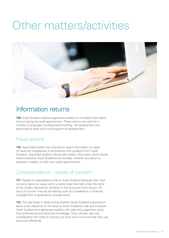# <span id="page-32-0"></span>Other matters/activities



# Information returns

**109.** Audit Scotland requires appointed auditors to complete information returns during the audit appointment. These returns are used for a number of purposes including benchmarking, risk assessment and performance audit work and programme development.

# Fraud returns

**110.** Appointed auditors are required to report information on cases of fraud and irregularities in accordance with guidance from Audit Scotland. Appointed auditors should also review information about frauds disseminated by Audit Scotland and consider whether any action is required in relation to their own audit appointments.

# Correspondence – issues of concern

**111.** People or organisations write to Audit Scotland because they have concerns about an issue within a public body that falls under the remit of the Auditor General for Scotland or the Accounts Commission. An issue of concern may be something such as a breakdown in financial management or governance arrangements.

**112.** The key factor in determining whether Audit Scotland examines an issue is the relevance of the issue to Audit Scotland's role and functions. Audit Scotland and appointed auditors will make this judgement using their professional and technical knowledge. They will also take into consideration the costs of carrying out such work to ensure that they use resources efficiently.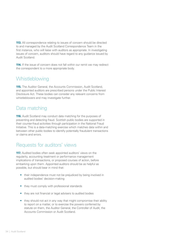**113.** All correspondence relating to issues of concern should be directed to and managed by the Audit Scotland Correspondence Team in the first instance, who will liaise with auditors as appropriate. In investigating issues of concern, auditors should have regard to any guidance issued by Audit Scotland.

**114.** If the issue of concern does not fall within our remit we may redirect the correspondent to a more appropriate body.

# **Whistleblowing**

**115.** The Auditor General, the Accounts Commission, Audit Scotland, and appointed auditors are prescribed persons under the Public Interest Disclosure Act. These bodies can consider any relevant concerns from whistleblowers and may investigate further.

# Data matching

**116.** Audit Scotland may conduct data matching for the purposes of preventing and detecting fraud. Scottish public bodies are supported in their counter-fraud activities through participation in the National Fraud Initiative. This is a data-matching exercise which matches data within and between other public bodies to identify potentially fraudulent transactions or claims and errors.

# Requests for auditors' views

**117.** Audited bodies often seek appointed auditors' views on the regularity, accounting treatment or performance management implications of transactions, or proposed courses of action, before embarking upon them. Appointed auditors should be as helpful as possible, but should bear in mind that:

- their independence must not be prejudiced by being involved in audited bodies' decision-making
- they must comply with professional standards
- they are not financial or legal advisers to audited bodies
- they should not act in any way that might compromise their ability to report on a matter, or to exercise the powers conferred by statute on them, the Auditor General, the Controller of Audit, the Accounts Commission or Audit Scotland.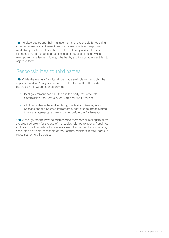**118.** Audited bodies and their management are responsible for deciding whether to embark on transactions or courses of action. Responses made by appointed auditors should not be taken by audited bodies as suggesting that proposed transactions or courses of action will be exempt from challenge in future, whether by auditors or others entitled to object to them.

#### Responsibilities to third parties

**119.** While the results of audits will be made available to the public, the appointed auditors' duty of care in respect of the audit of the bodies covered by this Code extends only to:

- local government bodies the audited body, the Accounts Commission, the Controller of Audit and Audit Scotland
- all other bodies the audited body, the Auditor General, Audit Scotland and the Scottish Parliament (under statute, most audited financial statements require to be laid before the Parliament).

**120.** Although reports may be addressed to members or managers, they are prepared solely for the use of the bodies referred to above. Appointed auditors do not undertake to have responsibilities to members, directors, accountable officers, managers or the Scottish ministers in their individual capacities, or to third parties.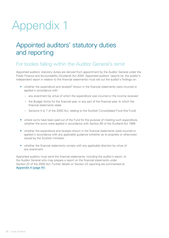# <span id="page-35-0"></span>Appendix 1

# Appointed auditors' statutory duties and reporting

# For bodies falling within the Auditor General's remit

Appointed auditors' statutory duties are derived from appointment by the Auditor General under the Public Finance and Accountability (Scotland) Act 2000. Appointed auditors' reports (ie, the auditor's independent report in relation to the financial statements) must set out the auditor's findings on:

- <span id="page-35-1"></span>• whether the expenditure and receipts $4$  shown in the financial statements were incurred or applied in accordance with:
	- any enactment by virtue of which the expenditure was incurred or the income received
	- the Budget Act(s) for the financial year, or any part of the financial year, to which the financial statements relate
	- Sections 4 to 7 of the 2000 Act, relating to the Scottish Consolidated Fund (the Fund)
- where sums have been paid out of the Fund for the purpose of meeting such expenditure, whether the sums were applied in accordance with Section 65 of the Scotland Act 1998
- whether the expenditure and receipts shown in the financial statements were incurred or applied in accordance with any applicable guidance (whether as to propriety or otherwise) issued by the Scottish ministers
- whether the financial statements comply with any applicable direction by virtue of any enactment.

Appointed auditors must send the financial statements, including the auditor's report, to the Auditor General who may prepare a report on the financial statements under Section 22 of the 2000 Act. Further details on Section 22 reporting are summarised at [Appendix 4 \(page 41\)](#page-40-1).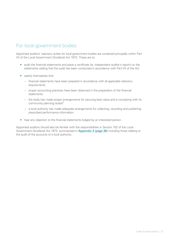# For local government bodies

Appointed auditors' statutory duties for local government bodies are contained principally within Part VII of the Local Government (Scotland) Act 1973. These are to:

- audit the financial statements and place a certificate (ie, independent auditor's report) on the statements stating that the audit has been conducted in accordance with Part VII of the Act
- satisfy themselves that:
	- financial statements have been prepared in accordance with all applicable statutory requirements
	- proper accounting practices have been observed in the preparation of the financial statements
	- the body has made proper arrangements for securing best value and is complying with its community planning duties<sup>5</sup>
	- a local authority has made adequate arrangements for collecting, recording and publishing prescribed performance information
- <span id="page-36-0"></span>• hear any objection to the financial statements lodged by an interested person.

Appointed auditors should also be familiar with the responsibilities in Section 102 of the Local Government (Scotland) Act 1973, summarised in [Appendix 3 \(page 39\)](#page-38-1) including those relating to the audit of the accounts of a local authority.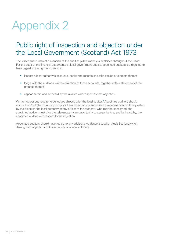# <span id="page-37-0"></span>Appendix 2

# Public right of inspection and objection under the Local Government (Scotland) Act 1973

The wider public interest dimension to the audit of public money is explained throughout the Code. For the audit of the financial statements of local government bodies, appointed auditors are required to have regard to the right of citizens to:

- inspect a local authority's accounts, books and records and take copies or extracts thereof
- lodge with the auditor a written objection to those accounts, together with a statement of the grounds thereof
- appear before and be heard by the auditor with respect to that objection.

<span id="page-37-1"></span>Written objections require to be lodged directly with the local auditor.<sup>6</sup> Appointed auditors should advise the Controller of Audit promptly of any objections or submissions received directly. If requested by the objector, the local authority or any officer of the authority who may be concerned, the appointed auditor must give the relevant party an opportunity to appear before, and be heard by, the appointed auditor with respect to the objection.

Appointed auditors should have regard to any additional guidance issued by Audit Scotland when dealing with objections to the accounts of a local authority.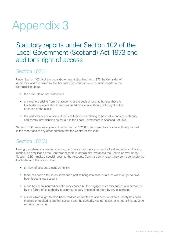# <span id="page-38-1"></span><span id="page-38-0"></span>Appendix 3

# Statutory reports under Section 102 of the Local Government (Scotland) Act 1973 and auditor's right of access

#### Section 102(1)

Under Section 102(1) of the Local Government (Scotland) Act 1973 the Controller of Audit may, and if required by the Accounts Commission must, submit reports to the Commission about:

- the accounts of local authorities
- any matters arising from the accounts or the audit of local authorities that the Controller considers should be considered by a local authority or brought to the attention of the public
- the performance of a local authority of their duties relating to best value and accountability and community planning as set out in the Local Government in Scotland Act 2003.

Section 102(2) requires any report under Section 102(1) to be copied to any local authority named in the report and to any other persons that the Controller thinks fit.

# Section 102(3)

Having considered any matter arising out of the audit of the accounts of a local authority, and having made such enquiries as the Controller sees fit, in certain circumstances the Controller may, under Section 102(3), make a special report to the Accounts Commission. A report may be made where the Controller is of the opinion that:

- an item of account is contrary to law
- there has been a failure on someone's part to bring into account a sum which ought to have been brought into account
- a loss has been incurred or deficiency caused by the negligence or misconduct of a person, or by the failure of an authority to carry out a duty imposed on them by any enactment
- a sum which ought to have been credited or debited to one account of an authority has been credited or debited to another account and the authority has not taken, or is not taking, steps to remedy the matter.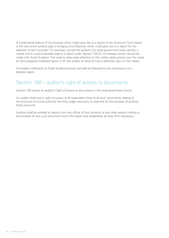A fundamental feature of the process which might give rise to a report to the Accounts Commission is the role which auditors play in bringing circumstances which could give rise to a report for the attention of the Controller. For example, should the auditors of a local government body identify a matter which could potentially lead to a report under Section 102(3), immediate contact should be made with Audit Scotland. The need to draw early attention to the matter takes priority over the need to have prepared a detailed report or for the auditor to have formed a definitive view on the matter.

Immediate notification to Audit Scotland should normally be followed by the submission of a detailed report.

# Section 100 – auditor's right of access to documents

Section 100 covers an auditor's right of access to documents in the local government sector.

An auditor shall have a right of access at all reasonable times to all such documents relating to the accounts of a local authority that they judge necessary to examine for the purpose of auditing those accounts.

Auditors shall be entitled to require from any officer of that authority or any other person holding or accountable for any such document such information and explanation as they think necessary.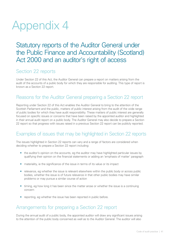# <span id="page-40-1"></span><span id="page-40-0"></span>Appendix 4

# Statutory reports of the Auditor General under the Public Finance and Accountability (Scotland) Act 2000 and an auditor's right of access

#### Section 22 reports

Under Section 22 of this Act, the Auditor General can prepare a report on matters arising from the audit of the accounts of a public body for which they are responsible for auditing. This type of report is known as a Section 22 report.

# Reasons for the Auditor General preparing a Section 22 report

Reporting under Section 22 of this Act enables the Auditor General to bring to the attention of the Scottish Parliament and the public, matters of public interest arising from the audit of the wide range of public bodies for which they have audit responsibility. These matters of public interest are generally focused on specific issues or concerns that have been raised by the appointed auditor and highlighted in their annual audit report on a public body. The Auditor General may also decide to prepare a Section 22 report so that progress with issues raised in a previous Section 22 report can be publicly reported.

# Examples of issues that may be highlighted in Section 22 reports

The issues highlighted in Section 22 reports can vary and a range of factors are considered when deciding whether to prepare a Section 22 report including:

- the auditor's opinion on the accounts, eg the auditor may have highlighted particular issues by qualifying their opinion on the financial statements or adding an 'emphasis of matter' paragraph
- materiality, ie the significance of the issue in terms of its value or its impact
- relevance, eg whether the issue is relevant elsewhere within the public body or across public bodies, whether the issue is of future relevance in that other public bodies may have similar problems or may pursue a similar course of action
- timing, eg how long it has been since the matter arose or whether the issue is a continuing concern
- reporting, eg whether the issue has been reported in public before.

# Arrangements for preparing a Section 22 report

During the annual audit of a public body, the appointed auditor will draw any significant issues arising to the attention of the public body concerned as well as to the Auditor General. The auditor will also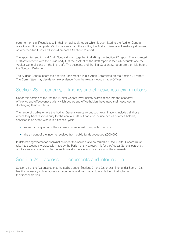comment on significant issues in their annual audit report which is submitted to the Auditor General once the audit is complete. Working closely with the auditor, the Auditor General will make a judgement on whether Audit Scotland should prepare a Section 22 report.

The appointed auditor and Audit Scotland work together in drafting the Section 22 report. The appointed auditor will check with the public body that the content of the draft report is factually accurate and the Auditor General signs off the final draft. The accounts and the final Section 22 report are then laid before the Scottish Parliament.

The Auditor General briefs the Scottish Parliament's Public Audit Committee on the Section 22 report. The Committee may decide to take evidence from the relevant Accountable Officer.

### Section 23 – economy, efficiency and effectiveness examinations

Under this section of the Act the Auditor General may initiate examinations into the economy, efficiency and effectiveness with which bodies and office-holders have used their resources in discharging their functions.

The range of bodies where the Auditor General can carry out such examinations includes all those where they have responsibility for the annual audit but can also include bodies or office holders, specified in an order, where in a financial year:

- more than a quarter of the income was received from public funds or
- the amount of the income received from public funds exceeded £500,000.

In determining whether an examination under this section is to be carried out, the Auditor General must take into account any proposals made by the Parliament. However, it is for the Auditor General personally o initiate an examination under this section and to decide who is to carry out the examination.

#### Section 24 – access to documents and information

Section 24 of the Act ensures that the auditor, under Sections 21 and 22, or examiner, under Section 23, has the necessary right of access to documents and information to enable them to discharge their responsibilities.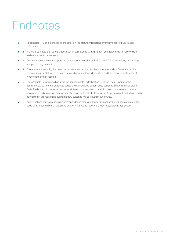# <span id="page-42-0"></span>**Endnotes**

- 1 Appendices 1, 3 and 4 provide more detail on the statutory reporting arrangements for public audit in Scotland.
- <sup>2</sup> It should be noted that audits undertaken in compliance with ISAs (UK and Ireland) do not allow direct assistance from internal audit.
- 3 Auditors should follow and apply the concept of materiality as laid out in ISA 320 Materiality in planning and performing an audit.
- 4 The relevant accounting frameworks require most audited bodies under the Auditor General's remit to prepare financial statements on an accruals basis and the independent auditors' report usually refers to income rather than receipts.
- 5 The Accounts Commission has approved arrangements under Section 53 of the Local Government in Scotland Act 2003 so that appointed auditors work alongside performance audit and Best Value audit staff in Audit Scotland to discharge auditor responsibilities in this area and in providing overall conclusions on a local government body's arrangements in a public report by the Controller of Audit. A new more integrated approach is developing in this regard and supplementary guidance will be issued in due course.
- 6 Audit Scotland may also consider correspondence received at any time about the finances of an audited body or an issue which is relevant to auditors' functions. See the Other matters/activities section.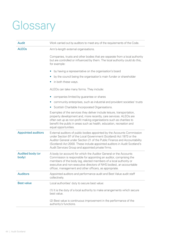# <span id="page-43-0"></span>**Glossary**

| <b>Audit</b>              | Work carried out by auditors to meet any of the requirements of the Code.                                                                                                                                                                                                                                                                                     |
|---------------------------|---------------------------------------------------------------------------------------------------------------------------------------------------------------------------------------------------------------------------------------------------------------------------------------------------------------------------------------------------------------|
| <b>ALEOs</b>              | Arm's-length external organisations.                                                                                                                                                                                                                                                                                                                          |
|                           | Companies, trusts and other bodies that are separate from a local authority<br>but are controlled or influenced by them. The local authority could do this,<br>for example:                                                                                                                                                                                   |
|                           | by having a representative on the organisation's board                                                                                                                                                                                                                                                                                                        |
|                           | by the council being the organisation's main funder or shareholder<br>$\bullet$                                                                                                                                                                                                                                                                               |
|                           | in both these ways.<br>$\bullet$                                                                                                                                                                                                                                                                                                                              |
|                           | ALEOs can take many forms. They include:                                                                                                                                                                                                                                                                                                                      |
|                           | companies limited by guarantee or shares                                                                                                                                                                                                                                                                                                                      |
|                           | community enterprises, such as industrial and provident societies' trusts<br>$\bullet$                                                                                                                                                                                                                                                                        |
|                           | Scottish Charitable Incorporated Organisations.<br>$\bullet$                                                                                                                                                                                                                                                                                                  |
|                           | Examples of the services they deliver include leisure, transportation,<br>property development and, more recently, care services. ALEOs are<br>often set up as non-profit making organisations such as charities to<br>benefit the public in areas such as health, education, recreation and<br>equal opportunities.                                          |
| <b>Appointed auditors</b> | External auditors of public bodies appointed by the Accounts Commission<br>under Section 97 of the Local Government (Scotland) Act 1973 or the<br>Auditor General under Section 21 of the Public Finance and Accountability<br>(Scotland) Act 2000. These include appointed auditors in Audit Scotland's<br>Audit Services Group and appointed private firms. |
| Audited body (or<br>body) | A body (or account) for which the Auditor General or the Accounts<br>Commission is responsible for appointing an auditor, comprising the<br>members of the body (eg, elected members of a local authority or<br>executive and non-executive directors of NHS bodies), an accountable<br>officer, management and other officers, as appropriate.               |
| <b>Auditors</b>           | Appointed auditors and performance audit and Best Value audit staff<br>collectively.                                                                                                                                                                                                                                                                          |
| <b>Best value</b>         | Local authorities' duty to secure best value:                                                                                                                                                                                                                                                                                                                 |
|                           | (1) It is the duty of a local authority to make arrangements which secure<br>best value.                                                                                                                                                                                                                                                                      |
|                           | (2) Best value is continuous improvement in the performance of the<br>authority's functions.                                                                                                                                                                                                                                                                  |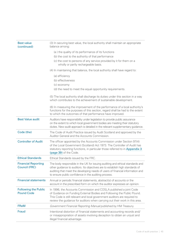| <b>Best value</b><br>(continued)                   | (3) In securing best value, the local authority shall maintain an appropriate<br>balance among:                                                                                                                                                                                                         |
|----------------------------------------------------|---------------------------------------------------------------------------------------------------------------------------------------------------------------------------------------------------------------------------------------------------------------------------------------------------------|
|                                                    | (a) the quality of its performance of its functions                                                                                                                                                                                                                                                     |
|                                                    | (b) the cost to the authority of that performance                                                                                                                                                                                                                                                       |
|                                                    | (c) the cost to persons of any service provided by it for them on a<br>wholly or partly rechargeable basis.                                                                                                                                                                                             |
|                                                    | (4) In maintaining that balance, the local authority shall have regard to:                                                                                                                                                                                                                              |
|                                                    | (a) efficiency                                                                                                                                                                                                                                                                                          |
|                                                    | (b) effectiveness                                                                                                                                                                                                                                                                                       |
|                                                    | (c) economy                                                                                                                                                                                                                                                                                             |
|                                                    | (d) the need to meet the equal opportunity requirements.                                                                                                                                                                                                                                                |
|                                                    | (5) The local authority shall discharge its duties under this section in a way<br>which contributes to the achievement of sustainable development.                                                                                                                                                      |
|                                                    | (6) In measuring the improvement of the performance of a local authority's<br>functions for the purposes of this section, regard shall be had to the extent<br>to which the outcomes of that performance have improved.                                                                                 |
| <b>Best Value audit</b>                            | Auditors have responsibility under legislation to provide public assurance<br>on the extent to which local government bodies are meeting their statutory<br>duties. New audit approach is detailed in the relevant supplementary guidance.                                                              |
| Code (the)                                         | The Code of Audit Practice issued by Audit Scotland and approved by the<br>Auditor General and the Accounts Commission.                                                                                                                                                                                 |
| <b>Controller of Audit</b>                         | The officer appointed by the Accounts Commission under Section 97(4)<br>of the Local Government (Scotland) Act 1973. The Controller of Audit has<br>statutory reporting functions, in particular those referred to in Appendix 3<br>(page 39) of the Code.                                              |
| <b>Ethical Standards</b>                           | Ethical Standards issued by the FRC.                                                                                                                                                                                                                                                                    |
| <b>Financial Reporting</b><br><b>Council (FRC)</b> | The body responsible in the UK for issuing auditing and ethical standards and<br>other guidance to auditors. Its objectives are to establish high standards of<br>auditing that meet the developing needs of users of financial information and<br>to ensure public confidence in the auditing process. |
| <b>Financial statements</b>                        | Annual or periodic financial statements, abstract(s) of accounts or the<br>account in the prescribed form on which the auditor expresses an opinion.                                                                                                                                                    |
| <b>Following the Public</b><br><b>Pound Code</b>   | In 1996, the Accounts Commission and COSLA published a joint Code<br>of Guidance on Funding External Bodies and Following the Public Pound.<br>This Code is still relevant and local government auditors are required to<br>review the guidance for auditors when carrying out their work in this area. |
| <b>FReM</b>                                        | Government Financial Reporting Manual published by HM Treasury.                                                                                                                                                                                                                                         |
| <b>Fraud</b>                                       | Intentional distortion of financial statements and accounting records and/<br>or misappropriation of assets involving deception to obtain an unjust and<br>illegal financial advantage.                                                                                                                 |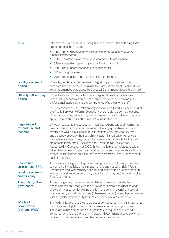| <b>ISAs</b>                                                                 | International Standards on Auditing (UK and Ireland). The following ISAs<br>are referenced in this Code:                                                                                                                                                                                                                                                                                                                                                                                                                                                                                                                                                                                                                                          |
|-----------------------------------------------------------------------------|---------------------------------------------------------------------------------------------------------------------------------------------------------------------------------------------------------------------------------------------------------------------------------------------------------------------------------------------------------------------------------------------------------------------------------------------------------------------------------------------------------------------------------------------------------------------------------------------------------------------------------------------------------------------------------------------------------------------------------------------------|
|                                                                             | • 240 – The auditor's responsibilities relating to fraud in an audit of<br>financial statements<br>260 – Communication with those charged with governance<br>$\bullet$<br>320 – Materiality in planning and performing an audit<br>330 – The auditors responses to assessed risk<br>570 - Going concern<br>0<br>700 – The auditors report on financial statements.<br>0                                                                                                                                                                                                                                                                                                                                                                           |
| <b>Local government</b><br>bodies                                           | Councils, joint boards, committees, integration joint boards and other<br>associated bodies, established under the Local Government (Scotland) Act<br>1973, as amended or replaced by the Local Government (Scotland) Act 1994.                                                                                                                                                                                                                                                                                                                                                                                                                                                                                                                   |
| Other (joint) scrutiny<br>bodies                                            | Inspectorates and other public sector organisations that have a role<br>in assessing aspects of organisational performance, compliance with<br>professional standards and the competence of professional staff.                                                                                                                                                                                                                                                                                                                                                                                                                                                                                                                                   |
|                                                                             | In local government, the relevant organisations are listed in Schedule 14 of<br>the Public Services Reform (Scotland) Act 2010 alongside the Accounts<br>Commission. They have a duty to cooperate with each other and, where<br>appropriate, with the Scottish ministers, under the Act.                                                                                                                                                                                                                                                                                                                                                                                                                                                         |
| <b>Regularity (of</b><br>expenditure and<br>income)                         | Whether, subject to the concept of materiality, expenditure and income has<br>been incurred or applied in accordance with (i) any applicable enactment<br>by virtue of which the expenditure was incurred or the income received<br>and guidance issued by the Scottish ministers; (ii) the Budget Act or Acts<br>for the financial year, or any part of the financial year, to which the financial<br>statements relate, and (iii) Sections 4 to 7 of the Public Finance and<br>Accountability (Scotland) Act 2000. Strictly, the legislation refers to receipts<br>rather than income. Where the accounting framework requires audited bodies<br>to account for income this is the term more commonly used in independent<br>auditors' reports. |
| <b>Shared risk</b><br>assessment (SRA)<br>Local government<br>auditors only | A process involving a joint approach using key information about a body<br>to plan scrutiny activity that is proportionate and based on risk. SRA is<br>undertaken by a joint scrutiny network and leads to the preparation of an<br>assurance and improvement plan, part of which may be the conduct of a<br>Best Value audit.                                                                                                                                                                                                                                                                                                                                                                                                                   |
| Those charged with<br>governance                                            | Those charged with governance are defined in auditing standards as<br>'those persons entrusted with the supervision, control and direction of an<br>entity'. In most cases, for example, this might be a full council or board of<br>management, an audit committee (where established) or another committee<br>with delegated responsibility for receiving the financial statements.                                                                                                                                                                                                                                                                                                                                                             |
| Whole of<br>Government<br><b>Accounts (WGA)</b>                             | The WGA initiative is to produce a set of consolidated financial statements<br>for the entire UK public sector on commercial accounting principles.<br>The larger public sector bodies in Scotland are required to submit a<br>consolidation pack to the relevant Scottish Government directorate which<br>is based on, but separate from, their statutory accounts.                                                                                                                                                                                                                                                                                                                                                                              |